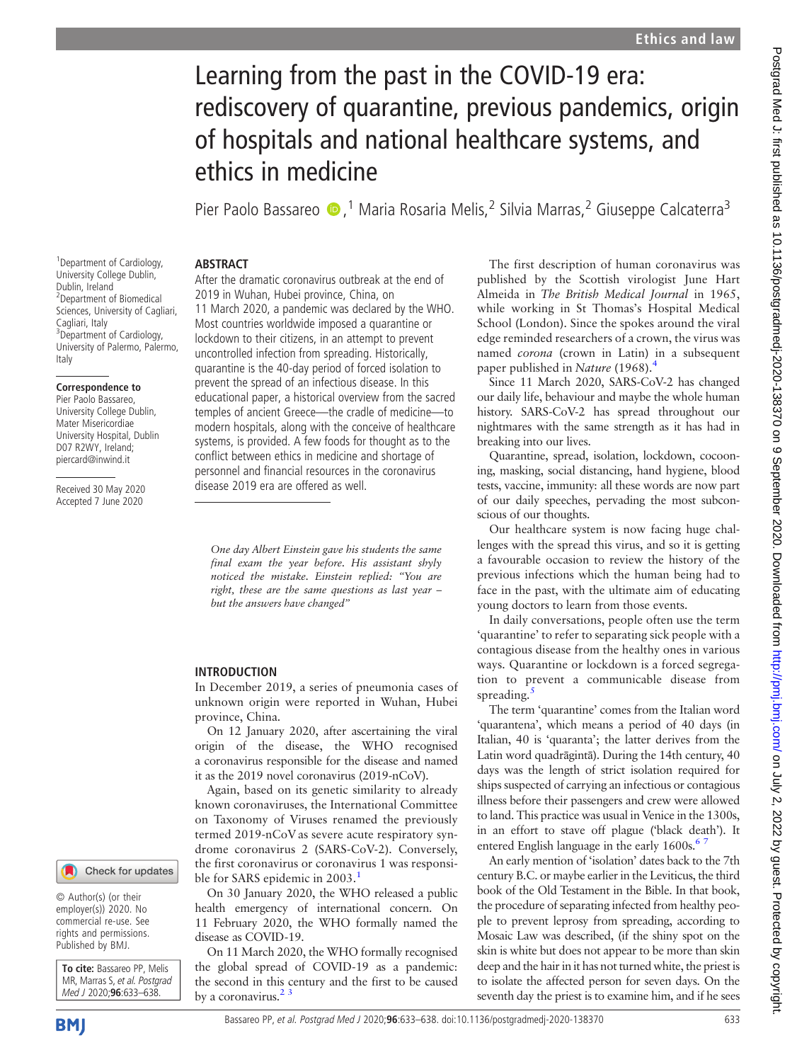# Learning from the past in the COVID-19 era: rediscovery of quarantine, previous pandemics, origin of hospitals and national healthcare systems, and ethics in medicine

Pier Paolo Bassareo (D, <sup>1</sup> Maria Rosaria Melis, <sup>2</sup> Silvia Marras, <sup>2</sup> Giuseppe Calcaterra<sup>3</sup>

## ABSTRACT

1 Department of Cardiology, University College Dublin, Dublin, Ireland 2 Department of Biomedical Sciences, University of Cagliari, Cagliari, Italy <sup>3</sup>Department of Cardiology, University of Palermo, Palermo, Italy

#### Correspondence to

Pier Paolo Bassareo, University College Dublin, Mater Misericordiae University Hospital, Dublin D07 R2WY, Ireland; [piercard@inwind.it](mailto:piercard@inwind.it)

Received 30 May 2020 Accepted 7 June 2020

After the dramatic coronavirus outbreak at the end of 2019 in Wuhan, Hubei province, China, on 11 March 2020, a pandemic was declared by the WHO. Most countries worldwide imposed a quarantine or lockdown to their citizens, in an attempt to prevent uncontrolled infection from spreading. Historically, quarantine is the 40-day period of forced isolation to prevent the spread of an infectious disease. In this educational paper, a historical overview from the sacred temples of ancient Greece—the cradle of medicine—to modern hospitals, along with the conceive of healthcare systems, is provided. A few foods for thought as to the conflict between ethics in medicine and shortage of personnel and financial resources in the coronavirus disease 2019 era are offered as well.

One day Albert Einstein gave his students the same final exam the year before. His assistant shyly noticed the mistake. Einstein replied: "You are right, these are the same questions as last year – but the answers have changed"

# INTRODUCTION

In December 2019, a series of pneumonia cases of unknown origin were reported in Wuhan, Hubei province, China.

On 12 January 2020, after ascertaining the viral origin of the disease, the WHO recognised a coronavirus responsible for the disease and named it as the 2019 novel coronavirus (2019-nCoV).

Again, based on its genetic similarity to already known coronaviruses, the International Committee on Taxonomy of Viruses renamed the previously termed 2019-nCoV as severe acute respiratory syndrome coronavirus 2 (SARS-CoV-2). Conversely, the first coronavirus or coronavirus 1 was responsible for SARS epidemic in 2003.<sup>1</sup>

On 30 January 2020, the WHO released a public health emergency of international concern. On 11 February 2020, the WHO formally named the disease as COVID-19.

On 11 March 2020, the WHO formally recognised the global spread of COVID-19 as a pandemic: the second in this century and the first to be caused by a coronavirus. $2<sup>3</sup>$ 

The first description of human coronavirus was published by the Scottish virologist June Hart Almeida in The British Medical Journal in 1965, while working in St Thomas's Hospital Medical School (London). Since the spokes around the viral edge reminded researchers of a crown, the virus was named corona (crown in Latin) in a subsequent paper published in Nature (1968).

Since 11 March 2020, SARS-CoV-2 has changed our daily life, behaviour and maybe the whole human history. SARS-CoV-2 has spread throughout our nightmares with the same strength as it has had in breaking into our lives.

Quarantine, spread, isolation, lockdown, cocooning, masking, social distancing, hand hygiene, blood tests, vaccine, immunity: all these words are now part of our daily speeches, pervading the most subconscious of our thoughts.

Our healthcare system is now facing huge challenges with the spread this virus, and so it is getting a favourable occasion to review the history of the previous infections which the human being had to face in the past, with the ultimate aim of educating young doctors to learn from those events.

In daily conversations, people often use the term 'quarantine' to refer to separating sick people with a contagious disease from the healthy ones in various ways. Quarantine or lockdown is a forced segregation to prevent a communicable disease from spreading.

The term 'quarantine' comes from the Italian word 'quarantena', which means a period of 40 days (in Italian, 40 is 'quaranta'; the latter derives from the Latin word quadrāgintā). During the 14th century, 40 days was the length of strict isolation required for ships suspected of carrying an infectious or contagious illness before their passengers and crew were allowed to land. This practice was usual in Venice in the 1300s, in an effort to stave off plague ('black death'). It entered English language in the early  $1600s$ .<sup>67</sup>

An early mention of 'isolation' dates back to the 7th century B.C. or maybe earlier in the Leviticus, the third book of the Old Testament in the Bible. In that book, the procedure of separating infected from healthy people to prevent leprosy from spreading, according to Mosaic Law was described, (if the shiny spot on the skin is white but does not appear to be more than skin deep and the hair in it has not turned white, the priest is to isolate the affected person for seven days. On the seventh day the priest is to examine him, and if he sees

© Author(s) (or their employer(s)) 2020. No commercial re-use. See rights and permissions. Published by BMJ.

To cite: Bassareo PP, Melis MR, Marras S, et al. Postgrad Med J 2020;96:633-638.

Check for updates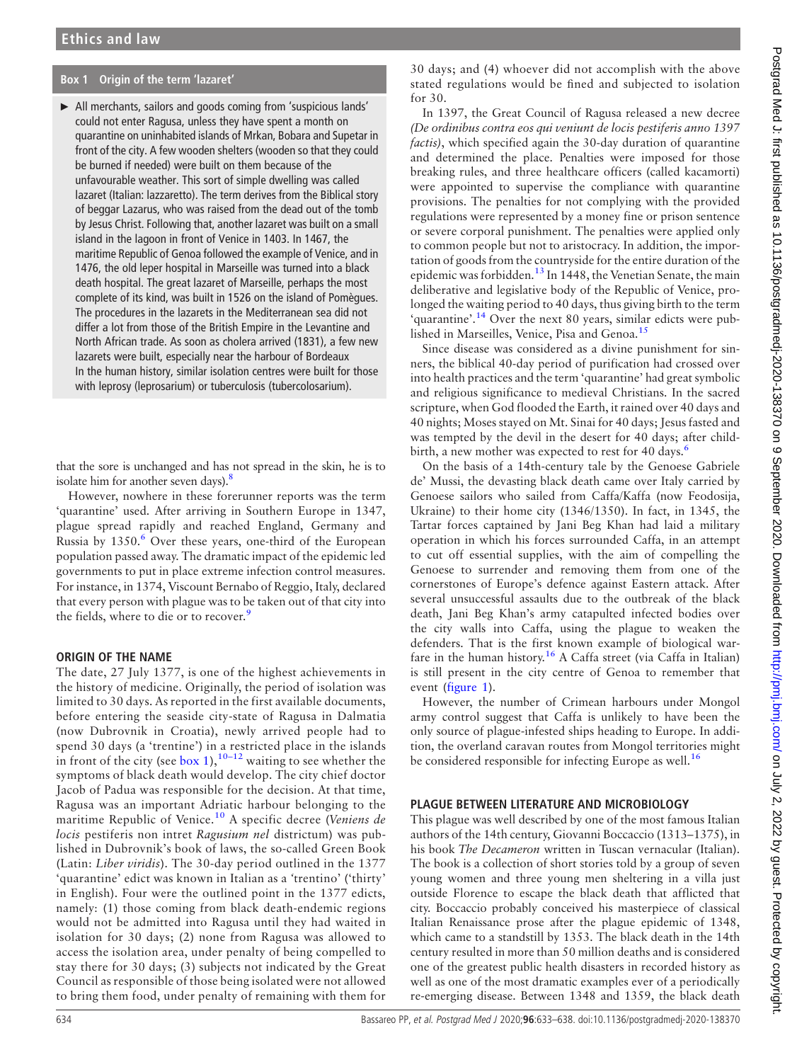## <span id="page-1-0"></span>Box 1 Origin of the term 'lazaret'

► All merchants, sailors and goods coming from 'suspicious lands' could not enter Ragusa, unless they have spent a month on quarantine on uninhabited islands of Mrkan, Bobara and Supetar in front of the city. A few wooden shelters (wooden so that they could be burned if needed) were built on them because of the unfavourable weather. This sort of simple dwelling was called lazaret (Italian: lazzaretto). The term derives from the Biblical story of beggar Lazarus, who was raised from the dead out of the tomb by Jesus Christ. Following that, another lazaret was built on a small island in the lagoon in front of Venice in 1403. In 1467, the maritime Republic of Genoa followed the example of Venice, and in 1476, the old leper hospital in Marseille was turned into a black death hospital. The great lazaret of Marseille, perhaps the most complete of its kind, was built in 1526 on the island of Pomègues. The procedures in the lazarets in the Mediterranean sea did not differ a lot from those of the British Empire in the Levantine and North African trade. As soon as cholera arrived (1831), a few new lazarets were built, especially near the harbour of Bordeaux In the human history, similar isolation centres were built for those with leprosy (leprosarium) or tuberculosis (tubercolosarium).

that the sore is unchanged and has not spread in the skin, he is to isolate him for another seven days). $8$ 

However, nowhere in these forerunner reports was the term 'quarantine' used. After arriving in Southern Europe in 1347, plague spread rapidly and reached England, Germany and Russia by  $1350<sup>6</sup>$  Over these years, one-third of the European population passed away. The dramatic impact of the epidemic led governments to put in place extreme infection control measures. For instance, in 1374, Viscount Bernabo of Reggio, Italy, declared that every person with plague was to be taken out of that city into the fields, where to die or to recover.<sup>[9](#page-5-6)</sup>

#### ORIGIN OF THE NAME

The date, 27 July 1377, is one of the highest achievements in the history of medicine. Originally, the period of isolation was limited to 30 days. As reported in the first available documents, before entering the seaside city-state of Ragusa in Dalmatia (now Dubrovnik in Croatia), newly arrived people had to spend 30 days (a 'trentine') in a restricted place in the islands in front of the city (see [box 1\)](#page-1-0),<sup>10–[12](#page-5-7)</sup> waiting to see whether the symptoms of black death would develop. The city chief doctor Jacob of Padua was responsible for the decision. At that time, Ragusa was an important Adriatic harbour belonging to the maritime Republic of Venice.<sup>[10](#page-5-7)</sup> A specific decree (Veniens de locis pestiferis non intret Ragusium nel districtum) was published in Dubrovnik's book of laws, the so-called Green Book (Latin: Liber viridis). The 30-day period outlined in the 1377 'quarantine' edict was known in Italian as a 'trentino' ('thirty' in English). Four were the outlined point in the 1377 edicts, namely: (1) those coming from black death-endemic regions would not be admitted into Ragusa until they had waited in isolation for 30 days; (2) none from Ragusa was allowed to access the isolation area, under penalty of being compelled to stay there for 30 days; (3) subjects not indicated by the Great Council as responsible of those being isolated were not allowed to bring them food, under penalty of remaining with them for

30 days; and (4) whoever did not accomplish with the above stated regulations would be fined and subjected to isolation for 30.

In 1397, the Great Council of Ragusa released a new decree (De ordinibus contra eos qui veniunt de locis pestiferis anno 1397 factis), which specified again the 30-day duration of quarantine and determined the place. Penalties were imposed for those breaking rules, and three healthcare officers (called kacamorti) were appointed to supervise the compliance with quarantine provisions. The penalties for not complying with the provided regulations were represented by a money fine or prison sentence or severe corporal punishment. The penalties were applied only to common people but not to aristocracy. In addition, the importation of goods from the countryside for the entire duration of the epidemic was forbidden.[13](#page-5-8) In 1448, the Venetian Senate, the main deliberative and legislative body of the Republic of Venice, prolonged the waiting period to 40 days, thus giving birth to the term 'quarantine'.<sup>[14](#page-5-9)</sup> Over the next 80 years, similar edicts were pub-lished in Marseilles, Venice, Pisa and Genoa.<sup>[15](#page-5-10)</sup>

Since disease was considered as a divine punishment for sinners, the biblical 40-day period of purification had crossed over into health practices and the term 'quarantine' had great symbolic and religious significance to medieval Christians. In the sacred scripture, when God flooded the Earth, it rained over 40 days and 40 nights; Moses stayed on Mt. Sinai for 40 days; Jesus fasted and was tempted by the devil in the desert for 40 days; after childbirth, a new mother was expected to rest for 40 days.<sup>6</sup>

On the basis of a 14th-century tale by the Genoese Gabriele de' Mussi, the devasting black death came over Italy carried by Genoese sailors who sailed from Caffa/Kaffa (now Feodosija, Ukraine) to their home city (1346/1350). In fact, in 1345, the Tartar forces captained by Jani Beg Khan had laid a military operation in which his forces surrounded Caffa, in an attempt to cut off essential supplies, with the aim of compelling the Genoese to surrender and removing them from one of the cornerstones of Europe's defence against Eastern attack. After several unsuccessful assaults due to the outbreak of the black death, Jani Beg Khan's army catapulted infected bodies over the city walls into Caffa, using the plague to weaken the defenders. That is the first known example of biological war-fare in the human history.<sup>[16](#page-5-11)</sup> A Caffa street (via Caffa in Italian) is still present in the city centre of Genoa to remember that event [\(figure 1](#page-2-0)).

However, the number of Crimean harbours under Mongol army control suggest that Caffa is unlikely to have been the only source of plague-infested ships heading to Europe. In addition, the overland caravan routes from Mongol territories might be considered responsible for infecting Europe as well.<sup>[16](#page-5-11)</sup>

## PLAGUE BETWEEN LITERATURE AND MICROBIOLOGY

This plague was well described by one of the most famous Italian authors of the 14th century, Giovanni Boccaccio (1313–1375), in his book The Decameron written in Tuscan vernacular (Italian). The book is a collection of short stories told by a group of seven young women and three young men sheltering in a villa just outside Florence to escape the black death that afflicted that city. Boccaccio probably conceived his masterpiece of classical Italian Renaissance prose after the plague epidemic of 1348, which came to a standstill by 1353. The black death in the 14th century resulted in more than 50 million deaths and is considered one of the greatest public health disasters in recorded history as well as one of the most dramatic examples ever of a periodically re-emerging disease. Between 1348 and 1359, the black death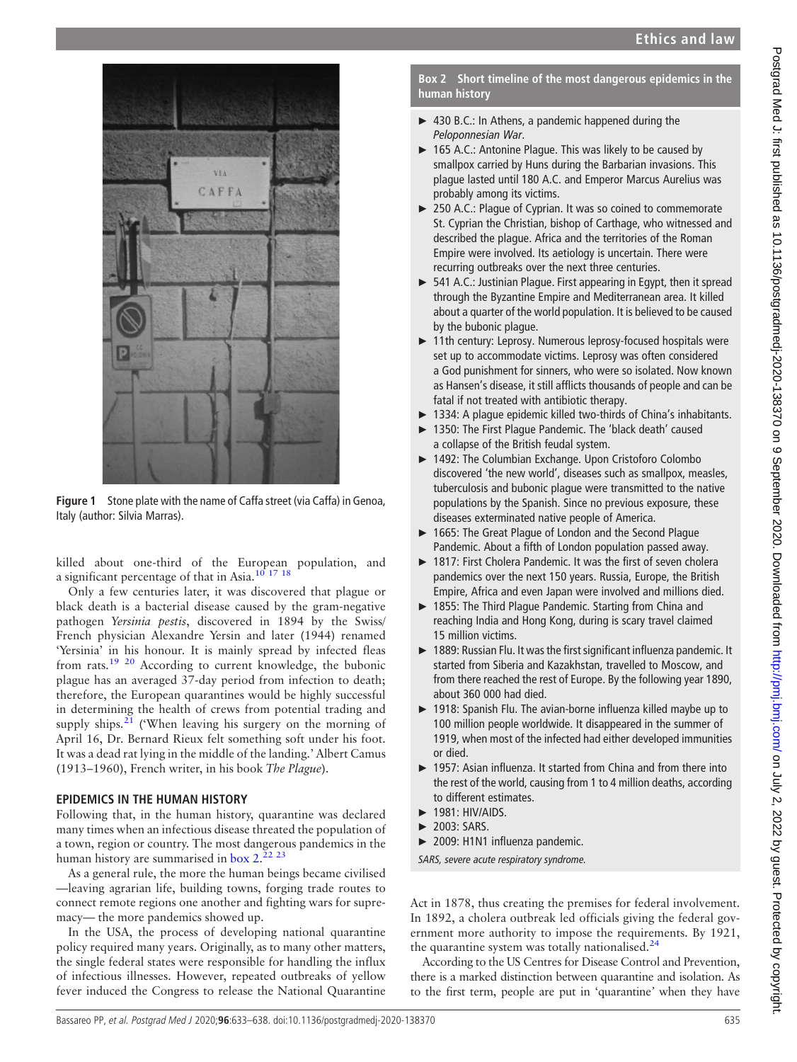<span id="page-2-0"></span>

Figure 1 Stone plate with the name of Caffa street (via Caffa) in Genoa, Italy (author: Silvia Marras).

killed about one-third of the European population, and a significant percentage of that in Asia.<sup>10 17</sup> <sup>18</sup>

Only a few centuries later, it was discovered that plague or black death is a bacterial disease caused by the gram-negative pathogen Yersinia pestis, discovered in 1894 by the Swiss/ French physician Alexandre Yersin and later (1944) renamed 'Yersinia' in his honour. It is mainly spread by infected fleas from rats.[19 20](#page-5-12) According to current knowledge, the bubonic plague has an averaged 37-day period from infection to death; therefore, the European quarantines would be highly successful in determining the health of crews from potential trading and supply ships. $21$  ('When leaving his surgery on the morning of April 16, Dr. Bernard Rieux felt something soft under his foot. It was a dead rat lying in the middle of the landing.' Albert Camus (1913–1960), French writer, in his book The Plague).

# EPIDEMICS IN THE HUMAN HISTORY

Following that, in the human history, quarantine was declared many times when an infectious disease threated the population of a town, region or country. The most dangerous pandemics in the human history are summarised in [box 2](#page-2-1).<sup>22</sup> 23

As a general rule, the more the human beings became civilised —leaving agrarian life, building towns, forging trade routes to connect remote regions one another and fighting wars for supremacy— the more pandemics showed up.

In the USA, the process of developing national quarantine policy required many years. Originally, as to many other matters, the single federal states were responsible for handling the influx of infectious illnesses. However, repeated outbreaks of yellow fever induced the Congress to release the National Quarantine

<span id="page-2-1"></span>Box 2 Short timeline of the most dangerous epidemics in the human history

- ► 430 B.C.: In Athens, a pandemic happened during the Peloponnesian War.
- ► 165 A.C.: Antonine Plague. This was likely to be caused by smallpox carried by Huns during the Barbarian invasions. This plague lasted until 180 A.C. and Emperor Marcus Aurelius was probably among its victims.
- ► 250 A.C.: Plague of Cyprian. It was so coined to commemorate St. Cyprian the Christian, bishop of Carthage, who witnessed and described the plague. Africa and the territories of the Roman Empire were involved. Its aetiology is uncertain. There were recurring outbreaks over the next three centuries.
- ► 541 A.C.: Justinian Plague. First appearing in Egypt, then it spread through the Byzantine Empire and Mediterranean area. It killed about a quarter of the world population. It is believed to be caused by the bubonic plague.
- ► 11th century: Leprosy. Numerous leprosy-focused hospitals were set up to accommodate victims. Leprosy was often considered a God punishment for sinners, who were so isolated. Now known as Hansen's disease, it still afflicts thousands of people and can be fatal if not treated with antibiotic therapy.
- ► 1334: A plague epidemic killed two-thirds of China's inhabitants.
- ► 1350: The First Plague Pandemic. The 'black death' caused a collapse of the British feudal system.
- ► 1492: The Columbian Exchange. Upon Cristoforo Colombo discovered 'the new world', diseases such as smallpox, measles, tuberculosis and bubonic plague were transmitted to the native populations by the Spanish. Since no previous exposure, these diseases exterminated native people of America.
- ► 1665: The Great Plague of London and the Second Plague Pandemic. About a fifth of London population passed away.
- ► 1817: First Cholera Pandemic. It was the first of seven cholera pandemics over the next 150 years. Russia, Europe, the British Empire, Africa and even Japan were involved and millions died.
- ► 1855: The Third Plague Pandemic. Starting from China and reaching India and Hong Kong, during is scary travel claimed 15 million victims.
- ► 1889: Russian Flu. It was the first significant influenza pandemic. It started from Siberia and Kazakhstan, travelled to Moscow, and from there reached the rest of Europe. By the following year 1890, about 360 000 had died.
- ► 1918: Spanish Flu. The avian-borne influenza killed maybe up to 100 million people worldwide. It disappeared in the summer of 1919, when most of the infected had either developed immunities or died.
- ► 1957: Asian influenza. It started from China and from there into the rest of the world, causing from 1 to 4 million deaths, according to different estimates.
- $\blacktriangleright$  1981: HIV/AIDS.
- ► 2003: SARS.
- ► 2009: H1N1 influenza pandemic.
- SARS, severe acute respiratory syndrome.

Act in 1878, thus creating the premises for federal involvement. In 1892, a cholera outbreak led officials giving the federal government more authority to impose the requirements. By 1921, the quarantine system was totally nationalised.<sup>[24](#page-5-15)</sup>

According to the US Centres for Disease Control and Prevention, there is a marked distinction between quarantine and isolation. As to the first term, people are put in 'quarantine' when they have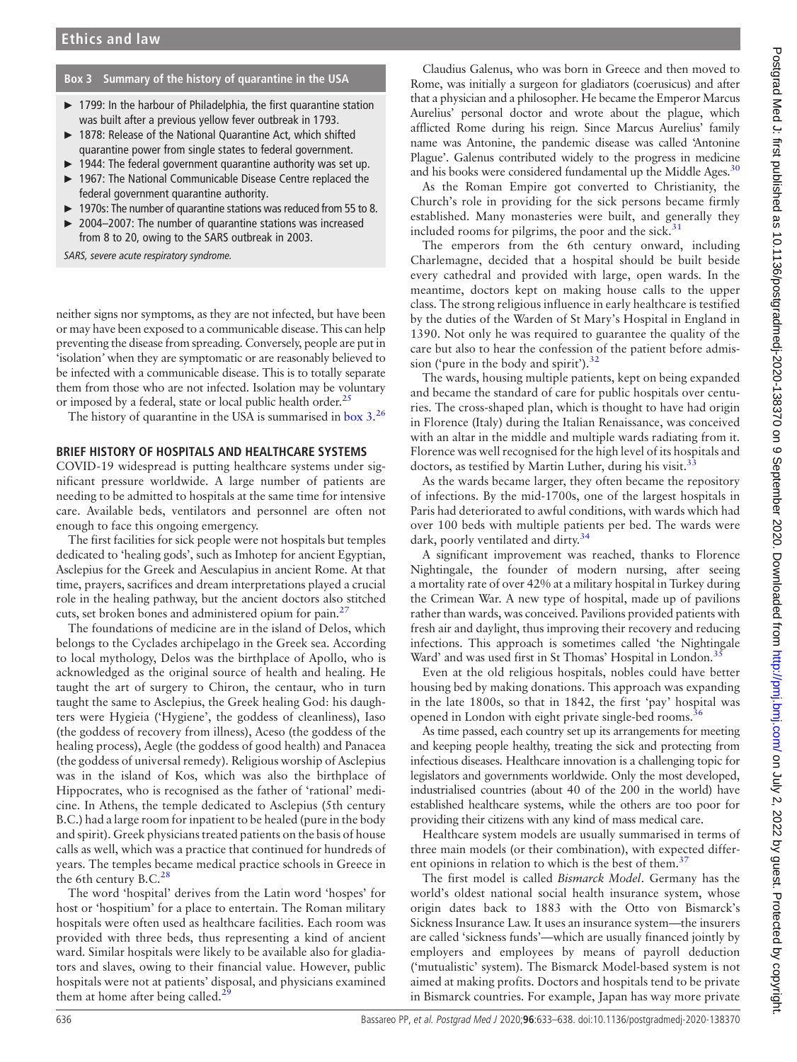## <span id="page-3-0"></span>Box 3 Summary of the history of quarantine in the USA

- ► 1799: In the harbour of Philadelphia, the first quarantine station was built after a previous yellow fever outbreak in 1793.
- ► 1878: Release of the National Quarantine Act, which shifted quarantine power from single states to federal government.
- ► 1944: The federal government quarantine authority was set up.
- ► 1967: The National Communicable Disease Centre replaced the federal government quarantine authority.
- ► 1970s: The number of quarantine stations was reduced from 55 to 8.
- ► 2004–2007: The number of quarantine stations was increased from 8 to 20, owing to the SARS outbreak in 2003.

SARS, severe acute respiratory syndrome.

neither signs nor symptoms, as they are not infected, but have been or may have been exposed to a communicable disease. This can help preventing the disease from spreading. Conversely, people are put in 'isolation' when they are symptomatic or are reasonably believed to be infected with a communicable disease. This is to totally separate them from those who are not infected. Isolation may be voluntary or imposed by a federal, state or local public health order.<sup>[25](#page-5-16)</sup>

The history of quarantine in the USA is summarised in [box 3.](#page-3-0)<sup>[26](#page-5-17)</sup>

## BRIEF HISTORY OF HOSPITALS AND HEALTHCARE SYSTEMS

COVID-19 widespread is putting healthcare systems under significant pressure worldwide. A large number of patients are needing to be admitted to hospitals at the same time for intensive care. Available beds, ventilators and personnel are often not enough to face this ongoing emergency.

The first facilities for sick people were not hospitals but temples dedicated to 'healing gods', such as Imhotep for ancient Egyptian, Asclepius for the Greek and Aesculapius in ancient Rome. At that time, prayers, sacrifices and dream interpretations played a crucial role in the healing pathway, but the ancient doctors also stitched cuts, set broken bones and administered opium for pain.<sup>[27](#page-5-18)</sup>

The foundations of medicine are in the island of Delos, which belongs to the Cyclades archipelago in the Greek sea. According to local mythology, Delos was the birthplace of Apollo, who is acknowledged as the original source of health and healing. He taught the art of surgery to Chiron, the centaur, who in turn taught the same to Asclepius, the Greek healing God: his daughters were Hygieia ('Hygiene', the goddess of cleanliness), Iaso (the goddess of recovery from illness), Aceso (the goddess of the healing process), Aegle (the goddess of good health) and Panacea (the goddess of universal remedy). Religious worship of Asclepius was in the island of Kos, which was also the birthplace of Hippocrates, who is recognised as the father of 'rational' medicine. In Athens, the temple dedicated to Asclepius (5th century B.C.) had a large room for inpatient to be healed (pure in the body and spirit). Greek physicians treated patients on the basis of house calls as well, which was a practice that continued for hundreds of years. The temples became medical practice schools in Greece in the 6th century B.C. $^{28}$  $^{28}$  $^{28}$ 

The word 'hospital' derives from the Latin word 'hospes' for host or 'hospitium' for a place to entertain. The Roman military hospitals were often used as healthcare facilities. Each room was provided with three beds, thus representing a kind of ancient ward. Similar hospitals were likely to be available also for gladiators and slaves, owing to their financial value. However, public hospitals were not at patients' disposal, and physicians examined them at home after being called.

Claudius Galenus, who was born in Greece and then moved to Rome, was initially a surgeon for gladiators (coerusicus) and after that a physician and a philosopher. He became the Emperor Marcus Aurelius' personal doctor and wrote about the plague, which afflicted Rome during his reign. Since Marcus Aurelius' family name was Antonine, the pandemic disease was called 'Antonine Plague'. Galenus contributed widely to the progress in medicine and his books were considered fundamental up the Middle Ages.<sup>30</sup>

As the Roman Empire got converted to Christianity, the Church's role in providing for the sick persons became firmly established. Many monasteries were built, and generally they included rooms for pilgrims, the poor and the sick. $31$ 

The emperors from the 6th century onward, including Charlemagne, decided that a hospital should be built beside every cathedral and provided with large, open wards. In the meantime, doctors kept on making house calls to the upper class. The strong religious influence in early healthcare is testified by the duties of the Warden of St Mary's Hospital in England in 1390. Not only he was required to guarantee the quality of the care but also to hear the confession of the patient before admission ('pure in the body and spirit'). $32$ 

The wards, housing multiple patients, kept on being expanded and became the standard of care for public hospitals over centuries. The cross-shaped plan, which is thought to have had origin in Florence (Italy) during the Italian Renaissance, was conceived with an altar in the middle and multiple wards radiating from it. Florence was well recognised for the high level of its hospitals and doctors, as testified by Martin Luther, during his visit. $\frac{3}{5}$ 

As the wards became larger, they often became the repository of infections. By the mid-1700s, one of the largest hospitals in Paris had deteriorated to awful conditions, with wards which had over 100 beds with multiple patients per bed. The wards were dark, poorly ventilated and dirty.<sup>[34](#page-5-25)</sup>

A significant improvement was reached, thanks to Florence Nightingale, the founder of modern nursing, after seeing a mortality rate of over 42% at a military hospital in Turkey during the Crimean War. A new type of hospital, made up of pavilions rather than wards, was conceived. Pavilions provided patients with fresh air and daylight, thus improving their recovery and reducing infections. This approach is sometimes called 'the Nightingale Ward' and was used first in St Thomas' Hospital in London.<sup>35</sup>

Even at the old religious hospitals, nobles could have better housing bed by making donations. This approach was expanding in the late 1800s, so that in 1842, the first 'pay' hospital was opened in London with eight private single-bed rooms.<sup>3</sup>

As time passed, each country set up its arrangements for meeting and keeping people healthy, treating the sick and protecting from infectious diseases. Healthcare innovation is a challenging topic for legislators and governments worldwide. Only the most developed, industrialised countries (about 40 of the 200 in the world) have established healthcare systems, while the others are too poor for providing their citizens with any kind of mass medical care.

Healthcare system models are usually summarised in terms of three main models (or their combination), with expected different opinions in relation to which is the best of them.<sup>3</sup>

The first model is called Bismarck Model. Germany has the world's oldest national social health insurance system, whose origin dates back to 1883 with the Otto von Bismarck's Sickness Insurance Law. It uses an insurance system—the insurers are called 'sickness funds'—which are usually financed jointly by employers and employees by means of payroll deduction ('mutualistic' system). The Bismarck Model-based system is not aimed at making profits. Doctors and hospitals tend to be private in Bismarck countries. For example, Japan has way more private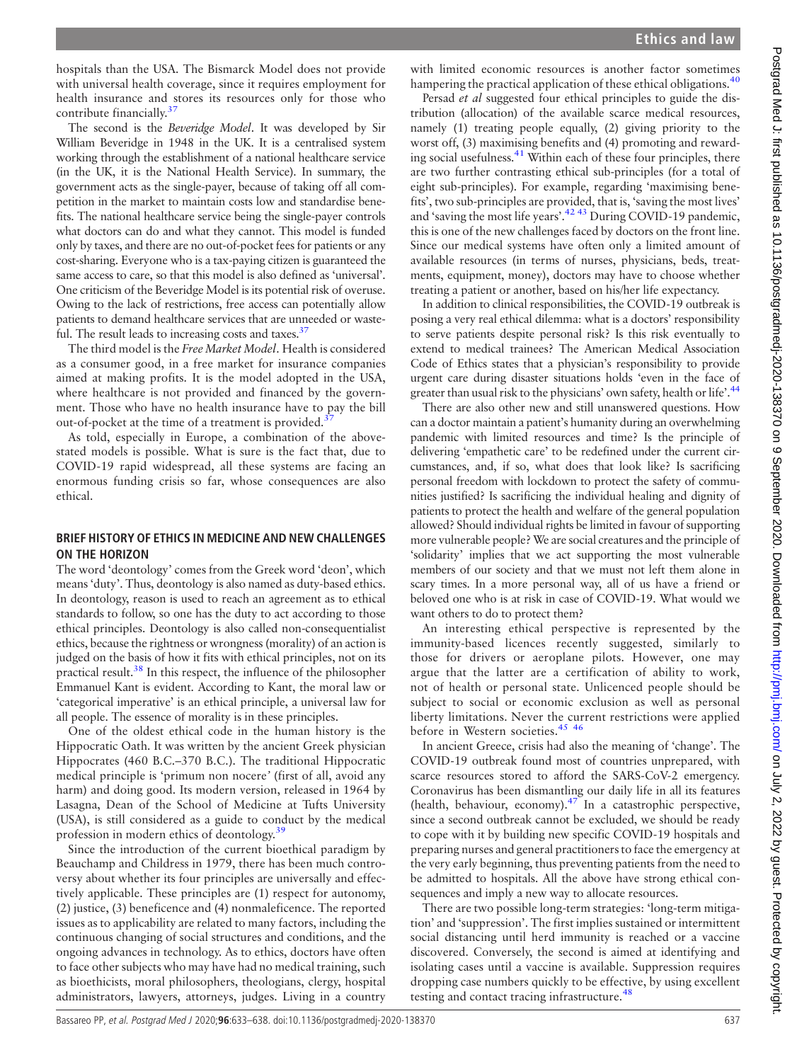hospitals than the USA. The Bismarck Model does not provide with universal health coverage, since it requires employment for health insurance and stores its resources only for those who contribute financially.<sup>[37](#page-5-28)</sup>

The second is the Beveridge Model. It was developed by Sir William Beveridge in 1948 in the UK. It is a centralised system working through the establishment of a national healthcare service (in the UK, it is the National Health Service). In summary, the government acts as the single-payer, because of taking off all competition in the market to maintain costs low and standardise benefits. The national healthcare service being the single-payer controls what doctors can do and what they cannot. This model is funded only by taxes, and there are no out-of-pocket fees for patients or any cost-sharing. Everyone who is a tax-paying citizen is guaranteed the same access to care, so that this model is also defined as 'universal'. One criticism of the Beveridge Model is its potential risk of overuse. Owing to the lack of restrictions, free access can potentially allow patients to demand healthcare services that are unneeded or wasteful. The result leads to increasing costs and taxes. $37$ 

The third model is the Free Market Model. Health is considered as a consumer good, in a free market for insurance companies aimed at making profits. It is the model adopted in the USA, where healthcare is not provided and financed by the government. Those who have no health insurance have to pay the bill out-of-pocket at the time of a treatment is provided.<sup>3</sup>

As told, especially in Europe, a combination of the abovestated models is possible. What is sure is the fact that, due to COVID-19 rapid widespread, all these systems are facing an enormous funding crisis so far, whose consequences are also ethical.

# BRIEF HISTORY OF ETHICS IN MEDICINE AND NEW CHALLENGES ON THE HORIZON

The word 'deontology' comes from the Greek word 'deon', which means'duty'. Thus, deontology is also named as duty-based ethics. In deontology, reason is used to reach an agreement as to ethical standards to follow, so one has the duty to act according to those ethical principles. Deontology is also called non-consequentialist ethics, because the rightness or wrongness (morality) of an action is judged on the basis of how it fits with ethical principles, not on its practical result.[38](#page-5-29) In this respect, the influence of the philosopher Emmanuel Kant is evident. According to Kant, the moral law or 'categorical imperative' is an ethical principle, a universal law for all people. The essence of morality is in these principles.

One of the oldest ethical code in the human history is the Hippocratic Oath. It was written by the ancient Greek physician Hippocrates (460 B.C.–370 B.C.). The traditional Hippocratic medical principle is 'primum non nocere' (first of all, avoid any harm) and doing good. Its modern version, released in 1964 by Lasagna, Dean of the School of Medicine at Tufts University (USA), is still considered as a guide to conduct by the medical profession in modern ethics of deontology.<sup>[39](#page-5-30)</sup>

Since the introduction of the current bioethical paradigm by Beauchamp and Childress in 1979, there has been much controversy about whether its four principles are universally and effectively applicable. These principles are (1) respect for autonomy, (2) justice, (3) beneficence and (4) nonmaleficence. The reported issues as to applicability are related to many factors, including the continuous changing of social structures and conditions, and the ongoing advances in technology. As to ethics, doctors have often to face other subjects who may have had no medical training, such as bioethicists, moral philosophers, theologians, clergy, hospital administrators, lawyers, attorneys, judges. Living in a country

with limited economic resources is another factor sometimes hampering the practical application of these ethical obligations.<sup>[40](#page-5-31)</sup>

Persad et al suggested four ethical principles to guide the distribution (allocation) of the available scarce medical resources, namely (1) treating people equally, (2) giving priority to the worst off, (3) maximising benefits and (4) promoting and rewarding social usefulness.[41](#page-5-32) Within each of these four principles, there are two further contrasting ethical sub-principles (for a total of eight sub-principles). For example, regarding 'maximising benefits', two sub-principles are provided, that is, 'saving the most lives' and 'saving the most life years'.<sup>[42 43](#page-5-33)</sup> During COVID-19 pandemic, this is one of the new challenges faced by doctors on the front line. Since our medical systems have often only a limited amount of available resources (in terms of nurses, physicians, beds, treatments, equipment, money), doctors may have to choose whether treating a patient or another, based on his/her life expectancy.

In addition to clinical responsibilities, the COVID-19 outbreak is posing a very real ethical dilemma: what is a doctors' responsibility to serve patients despite personal risk? Is this risk eventually to extend to medical trainees? The American Medical Association Code of Ethics states that a physician's responsibility to provide urgent care during disaster situations holds 'even in the face of greater than usual risk to the physicians' own safety, health or life'.<sup>[44](#page-5-34)</sup>

There are also other new and still unanswered questions. How can a doctor maintain a patient's humanity during an overwhelming pandemic with limited resources and time? Is the principle of delivering 'empathetic care' to be redefined under the current circumstances, and, if so, what does that look like? Is sacrificing personal freedom with lockdown to protect the safety of communities justified? Is sacrificing the individual healing and dignity of patients to protect the health and welfare of the general population allowed? Should individual rights be limited in favour of supporting more vulnerable people? We are social creatures and the principle of 'solidarity' implies that we act supporting the most vulnerable members of our society and that we must not left them alone in scary times. In a more personal way, all of us have a friend or beloved one who is at risk in case of COVID-19. What would we want others to do to protect them?

An interesting ethical perspective is represented by the immunity-based licences recently suggested, similarly to those for drivers or aeroplane pilots. However, one may argue that the latter are a certification of ability to work, not of health or personal state. Unlicenced people should be subject to social or economic exclusion as well as personal liberty limitations. Never the current restrictions were applied before in Western societies.<sup>45</sup> <sup>46</sup>

In ancient Greece, crisis had also the meaning of 'change'. The COVID-19 outbreak found most of countries unprepared, with scarce resources stored to afford the SARS-CoV-2 emergency. Coronavirus has been dismantling our daily life in all its features (health, behaviour, economy). $47$  In a catastrophic perspective, since a second outbreak cannot be excluded, we should be ready to cope with it by building new specific COVID-19 hospitals and preparing nurses and general practitioners to face the emergency at the very early beginning, thus preventing patients from the need to be admitted to hospitals. All the above have strong ethical consequences and imply a new way to allocate resources.

There are two possible long-term strategies: 'long-term mitigation' and 'suppression'. The first implies sustained or intermittent social distancing until herd immunity is reached or a vaccine discovered. Conversely, the second is aimed at identifying and isolating cases until a vaccine is available. Suppression requires dropping case numbers quickly to be effective, by using excellent testing and contact tracing infrastructure.<sup>[48](#page-5-37)</sup>